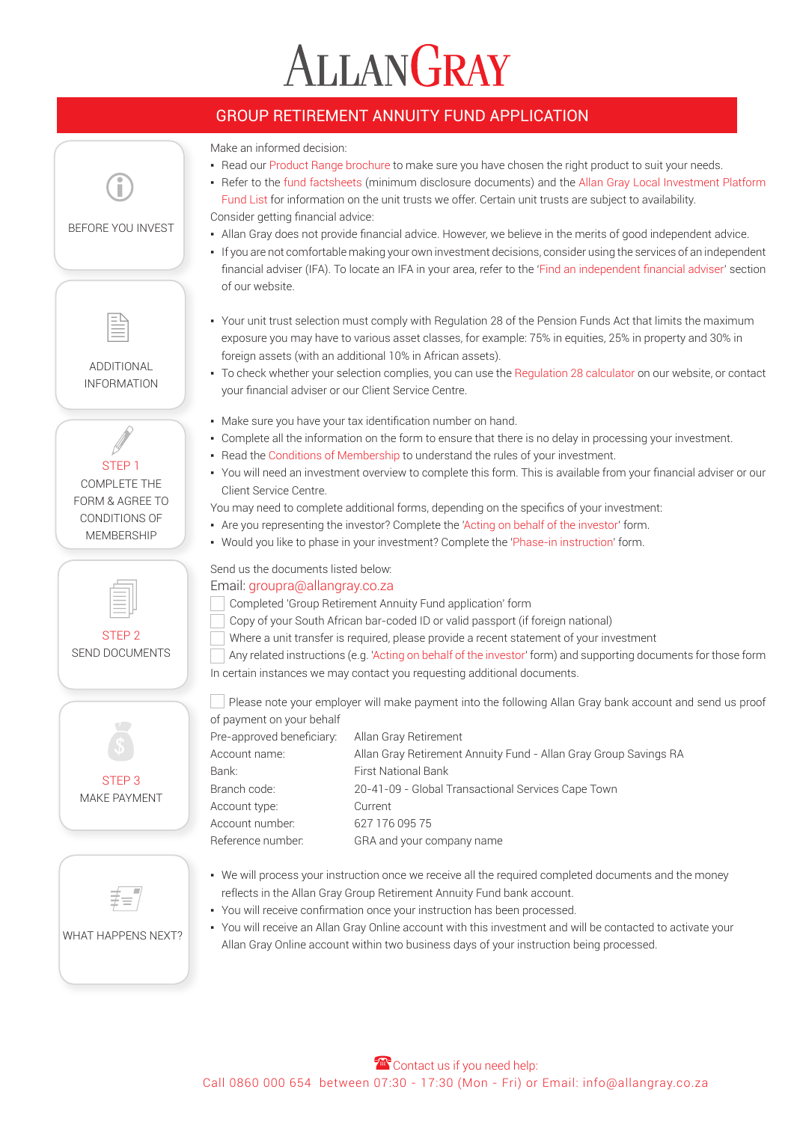# ALLANGRAY

## GROUP RETIREMENT ANNUITY FUND APPLICATION

Make an informed decision:

- Read our [Product Range brochure](https://www.allangray.co.za/globalassets/documents-repository/product/brochures/multiple%20products/files/product%20range%20brochure.pdf) to make sure you have chosen the right product to suit your needs.
- . Refer to the [fund factsheet](https://www.allangray.co.za/what-we-offer/unit-trusts)s (minimum disclosure documents) and the Allan Gray Local Investment Platform [Fund List](https://www.allangray.co.za/globalassets/documents-repository/product/brochures/Multiple%20products/Files/Local%20Investment%20Platform%20Fund%20List.pdf) for information on the unit trusts we offer. Certain unit trusts are subject to availability. Consider getting financial advice:
- Allan Gray does not provide financial advice. However, we believe in the merits of good independent advice.
- If you are not comfortable making your own investment decisions, consider using the services of an independent financial adviser (IFA). To locate an IFA in your area, refer to the '[Find an independent financial adviser](https://www.allangray.co.za/find-an-ifa)' section of our website.
- Your unit trust selection must comply with Regulation 28 of the Pension Funds Act that limits the maximum exposure you may have to various asset classes, for example: 75% in equities, 25% in property and 30% in foreign assets (with an additional 10% in African assets).
- To check whether your selection complies, you can use the [Regulation 28 calculator](https://www.allangray.co.za/globalassets/documents-repository/product/form/Retirement%20Annuity%20Fund/Files/Public%20-%20Regulation28Calculator.xlsm) on our website, or contact your financial adviser or our Client Service Centre.
- Make sure you have your tax identification number on hand.
- Complete all the information on the form to ensure that there is no delay in processing your investment.
- . Read the [Conditions of Membership](https://www.allangray.co.za/globalassets/documents-repository/product/brochures/Retirement%20Annuity%20Fund/Files/Conditions%20of%20membership%20RA.pdf) to understand the rules of your investment.
- You will need an investment overview to complete this form. This is available from your financial adviser or our Client Service Centre.
- You may need to complete additional forms, depending on the specifics of your investment:
- Are you representing the investor? Complete the ['Acting on behalf of the investor](https://www.allangray.co.za/globalassets/documents-repository/product/form/Multiple%20products/Files/Acting%20on%20Behalf%20of%20the%20Investor.pdf)' form.
- . Would you like to phase in your investment? Complete the '[Phase-in instructio](https://www.allangray.co.za/globalassets/documents-repository/product/form/Multiple%20products/Files/Phase-In%20Instruction.pdf)n' form.

Send us the documents listed below:

Completed 'Group Retirement Annuity Fund application' form

- Copy of your South African bar-coded ID or valid passport (if foreign national)
- Where a unit transfer is required, please provide a recent statement of your investment
- Any related instructions (e.g. '[Acting on behalf of the investor'](https://www.allangray.co.za/globalassets/documents-repository/product/form/Multiple%20products/Files/Acting%20on%20Behalf%20of%20the%20Investor.pdf) form) and supporting documents for those form In certain instances we may contact you requesting additional documents.

 Please note your employer will make payment into the following Allan Gray bank account and send us proof of payment on your behalf

| Pre-approved beneficiary: | Allan Gray Retirement                                            |
|---------------------------|------------------------------------------------------------------|
| Account name:             | Allan Gray Retirement Annuity Fund - Allan Gray Group Savings RA |
| Bank:                     | <b>First National Bank</b>                                       |
| Branch code:              | 20-41-09 - Global Transactional Services Cape Town               |
| Account type:             | Current                                                          |
| Account number:           | 627 176 095 75                                                   |
| Reference number:         | GRA and your company name                                        |

- We will process your instruction once we receive all the required completed documents and the money reflects in the Allan Gray Group Retirement Annuity Fund bank account.
- You will receive confirmation once your instruction has been processed.
- You will receive an Allan Gray Online account with this investment and will be contacted to activate your Allan Gray Online account within two business days of your instruction being processed.





ADDITIONAL INFORMATION

STEP 1 COMPLETE THE FORM & AGREE TO

BEFORE YOU INVEST

#### WHAT HAPPENS NEXT?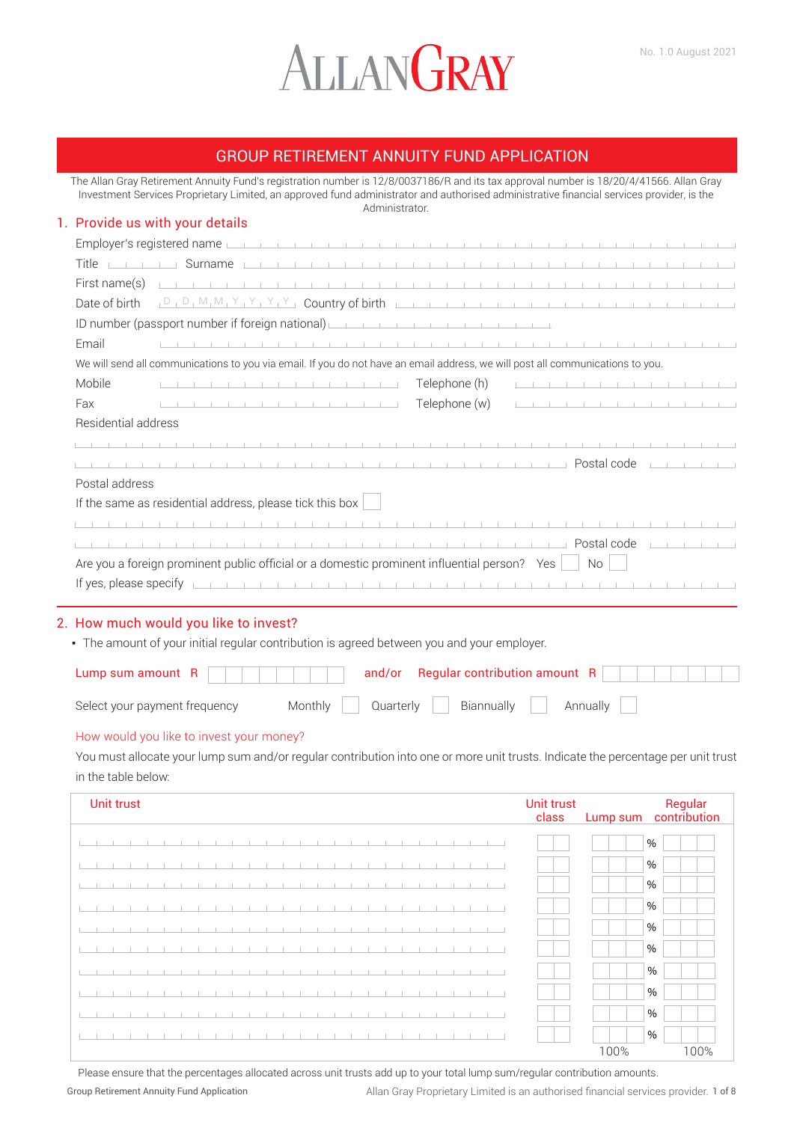# ALLANGRAY

## GROUP RETIREMENT ANNUITY FUND APPLICATION

The Allan Gray Retirement Annuity Fund's registration number is 12/8/0037186/R and its tax approval number is 18/20/4/41566. Allan Gray Investment Services Proprietary Limited, an approved fund administrator and authorised administrative financial services provider, is the Administrator.

#### 1. Provide us with your details

| Employer's registered name                                                                                                                                                                                                                                          |
|---------------------------------------------------------------------------------------------------------------------------------------------------------------------------------------------------------------------------------------------------------------------|
| Surname<br>Title                                                                                                                                                                                                                                                    |
| First name(s)<br>.                                                                                                                                                                                                                                                  |
| Date of birth                                                                                                                                                                                                                                                       |
| ID number (passport number if foreign national)                                                                                                                                                                                                                     |
| Email                                                                                                                                                                                                                                                               |
| We will send all communications to you via email. If you do not have an email address, we will post all communications to you.                                                                                                                                      |
| Mobile<br>Telephone (h)<br>the control of the control of the control of the control of the control of the control of the control of the control of the control of the control of the control of the control of the control of the control of the control            |
| Telephone (w)<br>Fax<br>.                                                                                                                                                                                                                                           |
| Residential address                                                                                                                                                                                                                                                 |
| .                                                                                                                                                                                                                                                                   |
| <u> 1905 - Johann Harry Harry Harry Harry Harry Harry Harry Harry Harry Harry Harry Harry Harry Harry Harry Harry Harry Harry Harry Harry Harry Harry Harry Harry Harry Harry Harry Harry Harry Harry Harry Harry Harry Harry Ha</u><br>and the company of the com- |
| Postal address                                                                                                                                                                                                                                                      |
| If the same as residential address, please tick this box                                                                                                                                                                                                            |
| .                                                                                                                                                                                                                                                                   |
| Postal code                                                                                                                                                                                                                                                         |
| Are you a foreign prominent public official or a domestic prominent influential person? Yes<br><b>No</b>                                                                                                                                                            |
| If yes, please specify                                                                                                                                                                                                                                              |

## 2. How much would you like to invest?

• The amount of your initial regular contribution is agreed between you and your employer.

| Select your payment frequency |  | Monthly Quarterly Biannually Annually |  |  |
|-------------------------------|--|---------------------------------------|--|--|

#### How would you like to invest your money?

You must allocate your lump sum and/or regular contribution into one or more unit trusts. Indicate the percentage per unit trust in the table below:

| Unit trust<br><b>Unit trust</b><br>class | Lump sum | Regular<br>contribution |
|------------------------------------------|----------|-------------------------|
|                                          |          | $\%$                    |
|                                          |          | $\%$                    |
|                                          |          | $\%$                    |
|                                          |          | $\%$                    |
|                                          |          | $\%$                    |
|                                          |          | $\%$                    |
|                                          |          | $\%$                    |
|                                          |          | $\%$                    |
|                                          |          | $\%$                    |
|                                          |          | $\%$                    |
|                                          | 100%     | 100%                    |

Group Retirement Annuity Fund Application Allan Gray Proprietary Limited is an authorised financial services provider. 1 of 8 Please ensure that the percentages allocated across unit trusts add up to your total lump sum/regular contribution amounts.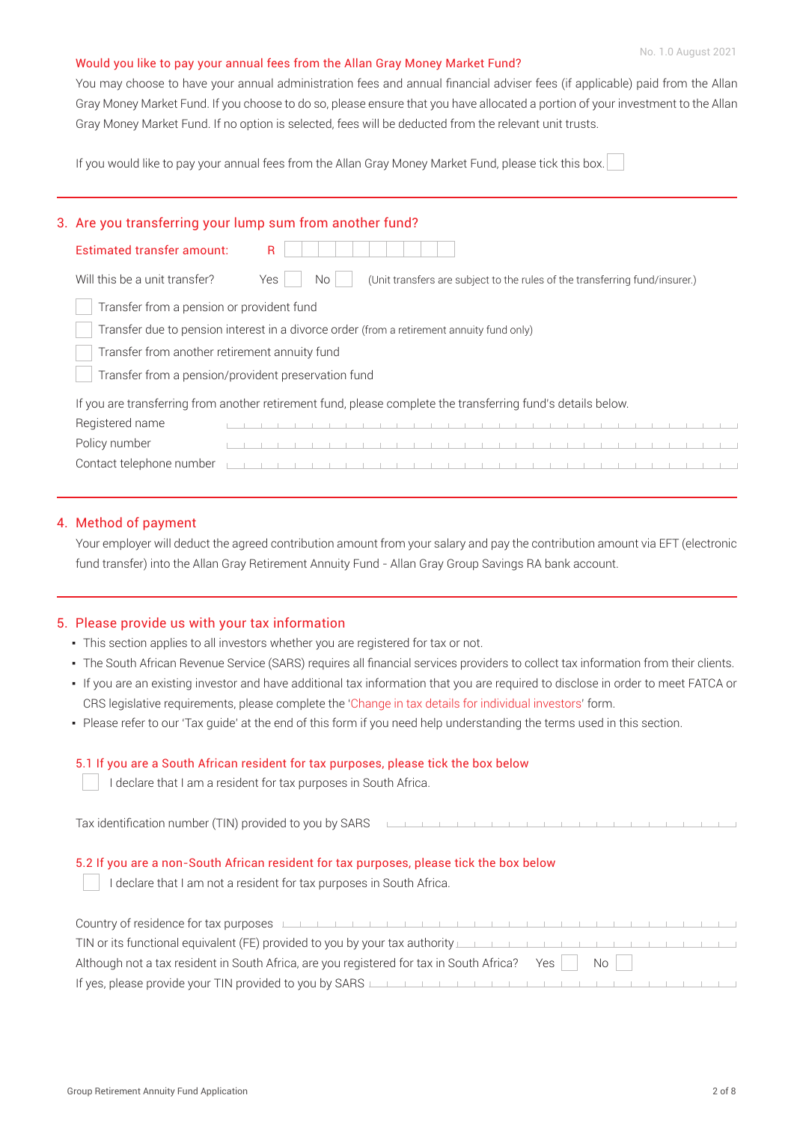#### Would you like to pay your annual fees from the Allan Gray Money Market Fund?

You may choose to have your annual administration fees and annual financial adviser fees (if applicable) paid from the Allan Gray Money Market Fund. If you choose to do so, please ensure that you have allocated a portion of your investment to the Allan Gray Money Market Fund. If no option is selected, fees will be deducted from the relevant unit trusts.

If you would like to pay your annual fees from the Allan Gray Money Market Fund, please tick this box.

### 3. Are you transferring your lump sum from another fund?

| Estimated transfer amount:                          | R                                                                                                            |
|-----------------------------------------------------|--------------------------------------------------------------------------------------------------------------|
| Will this be a unit transfer?                       | (Unit transfers are subject to the rules of the transferring fund/insurer.)<br>Yes<br>No.                    |
| Transfer from a pension or provident fund           |                                                                                                              |
|                                                     | Transfer due to pension interest in a divorce order (from a retirement annuity fund only)                    |
| Transfer from another retirement annuity fund       |                                                                                                              |
| Transfer from a pension/provident preservation fund |                                                                                                              |
|                                                     | If you are transferring from another retirement fund, please complete the transferring fund's details below. |
| Registered name                                     |                                                                                                              |
| Policy number                                       |                                                                                                              |

#### 4. Method of payment

Your employer will deduct the agreed contribution amount from your salary and pay the contribution amount via EFT (electronic fund transfer) into the Allan Gray Retirement Annuity Fund - Allan Gray Group Savings RA bank account.

Contact telephone number

#### 5. Please provide us with your tax information

- This section applies to all investors whether you are registered for tax or not.
- . The South African Revenue Service (SARS) requires all financial services providers to collect tax information from their clients.
- If you are an existing investor and have additional tax information that you are required to disclose in order to meet FATCA or CRS legislative requirements, please complete the '[Change in tax details for individual investors](https://www.allangray.co.za/globalassets/documents-repository/product/form/Multiple%20products/Files/Change%20in%20Tax%20Details%20for%20Individuals.pdf)' form.
- Please refer to our 'Tax guide' at the end of this form if you need help understanding the terms used in this section.

#### 5.1 If you are a South African resident for tax purposes, please tick the box below

I declare that I am a resident for tax purposes in South Africa.

Tax identification number (TIN) provided to you by SARS

## 5.2 If you are a non-South African resident for tax purposes, please tick the box below

 $\Box$  I declare that I am not a resident for tax purposes in South Africa.

| Country of residence for tax purposes <b>Leader Act and the contract of the contract of the contract of the contract of the contract of the contract of the contract of the contract of the contract of the contract of the cont</b> |
|--------------------------------------------------------------------------------------------------------------------------------------------------------------------------------------------------------------------------------------|
| TIN or its functional equivalent (FE) provided to you by your tax authority                                                                                                                                                          |
| Although not a tax resident in South Africa, are you registered for tax in South Africa? Yes   No                                                                                                                                    |
| If yes, please provide your TIN provided to you by SARS                                                                                                                                                                              |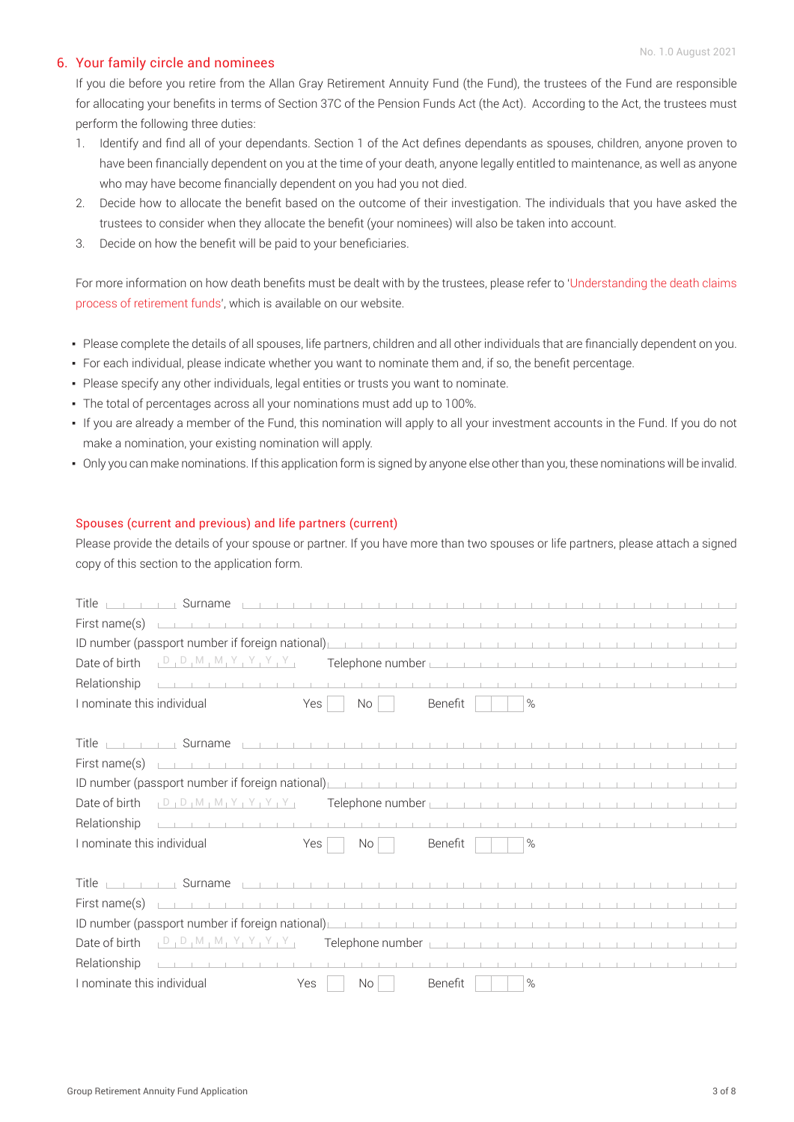#### 6. Your family circle and nominees

If you die before you retire from the Allan Gray Retirement Annuity Fund (the Fund), the trustees of the Fund are responsible for allocating your benefits in terms of Section 37C of the Pension Funds Act (the Act). According to the Act, the trustees must perform the following three duties:

- 1. Identify and find all of your dependants. Section 1 of the Act defines dependants as spouses, children, anyone proven to have been financially dependent on you at the time of your death, anyone legally entitled to maintenance, as well as anyone who may have become financially dependent on you had you not died.
- 2. Decide how to allocate the benefit based on the outcome of their investigation. The individuals that you have asked the trustees to consider when they allocate the benefit (your nominees) will also be taken into account.
- 3. Decide on how the benefit will be paid to your beneficiaries.

For more information on how death benefits must be dealt with by the trustees, please refer to '[Understanding the death claims](https://www.allangray.co.za/globalassets/documents-repository/product/brochures/Multiple%20products/Files/Understanding%20the%20death%20claims%20process%20of%20retirement%20funds.pdf)  [process of retirement funds'](https://www.allangray.co.za/globalassets/documents-repository/product/brochures/Multiple%20products/Files/Understanding%20the%20death%20claims%20process%20of%20retirement%20funds.pdf), which is available on our website.

- Please complete the details of all spouses, life partners, children and all other individuals that are financially dependent on you.
- For each individual, please indicate whether you want to nominate them and, if so, the benefit percentage.
- Please specify any other individuals, legal entities or trusts you want to nominate.
- The total of percentages across all your nominations must add up to 100%.
- If you are already a member of the Fund, this nomination will apply to all your investment accounts in the Fund. If you do not make a nomination, your existing nomination will apply.
- Only you can make nominations. If this application form is signed by anyone else other than you, these nominations will be invalid.

#### Spouses (current and previous) and life partners (current)

Please provide the details of your spouse or partner. If you have more than two spouses or life partners, please attach a signed copy of this section to the application form.

| Title<br>Surname                                                                                                                                                                                                                                                                                                                                                                                      |     |                                                                               |                                                                                                                 |                                                          |  |  |  |  |  |
|-------------------------------------------------------------------------------------------------------------------------------------------------------------------------------------------------------------------------------------------------------------------------------------------------------------------------------------------------------------------------------------------------------|-----|-------------------------------------------------------------------------------|-----------------------------------------------------------------------------------------------------------------|----------------------------------------------------------|--|--|--|--|--|
| First name(s)<br>the contract of the contract of the contract of                                                                                                                                                                                                                                                                                                                                      |     |                                                                               |                                                                                                                 |                                                          |  |  |  |  |  |
| ID number (passport number if foreign national)                                                                                                                                                                                                                                                                                                                                                       |     |                                                                               | .                                                                                                               |                                                          |  |  |  |  |  |
| $\overline{A}$ $\overline{D}$ $\overline{D}$ $\overline{D}$ $\overline{M}$ $\overline{M}$ $\overline{N}$ $\overline{Y}$ $\overline{Y}$ $\overline{Y}$ $\overline{Y}$ $\overline{Y}$ $\overline{Y}$ $\overline{Y}$ $\overline{Y}$ $\overline{Y}$ $\overline{Y}$ $\overline{Y}$ $\overline{Y}$ $\overline{Y}$ $\overline{Y}$ $\overline{Y}$ $\overline{Y}$ $\overline{Y}$ $\overline{$<br>Date of birth |     | Telephone number L                                                            |                                                                                                                 | the contract of the contract of the property of the con- |  |  |  |  |  |
| Relationship                                                                                                                                                                                                                                                                                                                                                                                          |     |                                                                               |                                                                                                                 |                                                          |  |  |  |  |  |
| I nominate this individual                                                                                                                                                                                                                                                                                                                                                                            | Yes | No                                                                            | Benefit                                                                                                         | $\%$                                                     |  |  |  |  |  |
|                                                                                                                                                                                                                                                                                                                                                                                                       |     |                                                                               |                                                                                                                 |                                                          |  |  |  |  |  |
| <b>Title</b><br><b>Contract Contract</b>                                                                                                                                                                                                                                                                                                                                                              |     |                                                                               |                                                                                                                 |                                                          |  |  |  |  |  |
| First name(s)                                                                                                                                                                                                                                                                                                                                                                                         |     |                                                                               |                                                                                                                 |                                                          |  |  |  |  |  |
| ID number (passport number if foreign national)                                                                                                                                                                                                                                                                                                                                                       |     |                                                                               |                                                                                                                 |                                                          |  |  |  |  |  |
| $D_1 D_1 M_1 M_1 Y_1 Y_1 Y_1 Y_1$<br>Date of birth                                                                                                                                                                                                                                                                                                                                                    |     | Telephone number $\llcorner$                                                  | the contract of the property of the contract of the contract of the contract of the contract of the contract of |                                                          |  |  |  |  |  |
| Relationship                                                                                                                                                                                                                                                                                                                                                                                          |     |                                                                               |                                                                                                                 |                                                          |  |  |  |  |  |
| I nominate this individual                                                                                                                                                                                                                                                                                                                                                                            | Yes | <b>No</b>                                                                     | Benefit                                                                                                         | %                                                        |  |  |  |  |  |
|                                                                                                                                                                                                                                                                                                                                                                                                       |     |                                                                               |                                                                                                                 |                                                          |  |  |  |  |  |
| Surname<br>Title<br>and the control of                                                                                                                                                                                                                                                                                                                                                                |     | 1 1 1 1 1 1 1 1 1 1 1 1 1 1 1 1 1 1                                           |                                                                                                                 |                                                          |  |  |  |  |  |
| the contract of the contract of the contract of the contract of the contract of<br>First name(s)                                                                                                                                                                                                                                                                                                      |     |                                                                               |                                                                                                                 |                                                          |  |  |  |  |  |
| ID number (passport number if foreign national)                                                                                                                                                                                                                                                                                                                                                       |     |                                                                               |                                                                                                                 |                                                          |  |  |  |  |  |
| $\Box_1$ $D_1$ $D_1$ $M_1$ $M_1$ $Y_1$ $Y_1$ $Y_1$ $Y_2$<br>Date of birth                                                                                                                                                                                                                                                                                                                             |     | Telephone number <u>is a constant of the construction of the construction</u> |                                                                                                                 |                                                          |  |  |  |  |  |
| Relationship                                                                                                                                                                                                                                                                                                                                                                                          |     |                                                                               |                                                                                                                 |                                                          |  |  |  |  |  |
| I nominate this individual                                                                                                                                                                                                                                                                                                                                                                            | Yes | <b>No</b>                                                                     | Benefit                                                                                                         | %                                                        |  |  |  |  |  |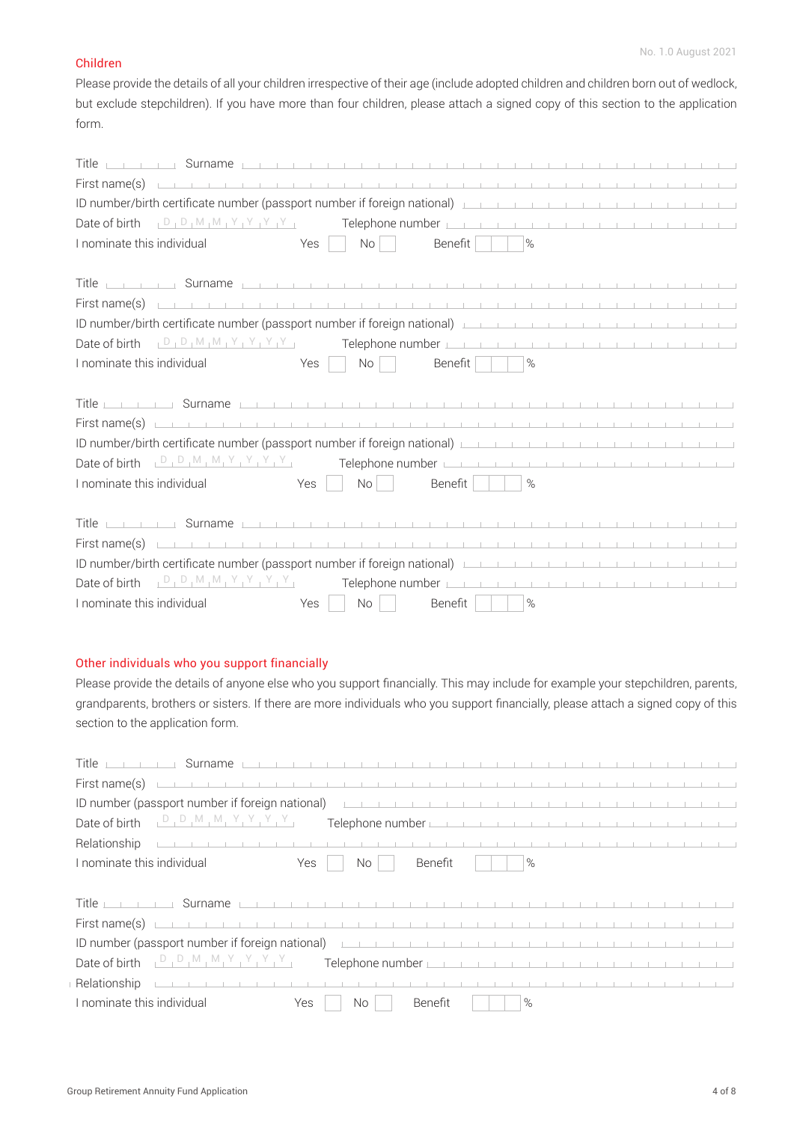#### Children

Please provide the details of all your children irrespective of their age (include adopted children and children born out of wedlock, but exclude stepchildren). If you have more than four children, please attach a signed copy of this section to the application form.

| Title <u>part of the Surname part of the term of the term of the term of the term of the term of the term of the term of the term of the term of the term of the term of the term of the term of the term of the term of the ter</u>    |                  |                  |                 |               |  |  |  |  |  |
|-----------------------------------------------------------------------------------------------------------------------------------------------------------------------------------------------------------------------------------------|------------------|------------------|-----------------|---------------|--|--|--|--|--|
| First name(s)                                                                                                                                                                                                                           |                  |                  |                 |               |  |  |  |  |  |
| ID number/birth certificate number (passport number if foreign national)                                                                                                                                                                |                  |                  |                 |               |  |  |  |  |  |
| Date of birth $D_1D_1M_1M_1Y_1Y_1Y_1Y_2$ Telephone number                                                                                                                                                                               |                  |                  |                 |               |  |  |  |  |  |
| I nominate this individual                                                                                                                                                                                                              | No<br>Yes        | Benefit          |                 | $\%$          |  |  |  |  |  |
|                                                                                                                                                                                                                                         |                  |                  |                 |               |  |  |  |  |  |
| Title <u>part of the Surname part of the term of the term of the term of the term of the term of the term of the term of the term of the term of the term of the term of the term of the term of the term of the term of the ter</u>    |                  |                  |                 |               |  |  |  |  |  |
| First name(s)                                                                                                                                                                                                                           |                  |                  |                 |               |  |  |  |  |  |
| ID number/birth certificate number (passport number if foreign national)                                                                                                                                                                |                  |                  |                 |               |  |  |  |  |  |
| Date of birth $D_1D_1M_1M_1Y_1Y_1Y_1Y_1$ Telephone number                                                                                                                                                                               |                  |                  |                 |               |  |  |  |  |  |
| I nominate this individual                                                                                                                                                                                                              | Yes<br>No        | Benefit          | $\mathbf{1}$    | $\frac{9}{6}$ |  |  |  |  |  |
|                                                                                                                                                                                                                                         |                  |                  |                 |               |  |  |  |  |  |
| Title <u>parameters</u> and <b>Surname</b> the contract of the contract of the contract of the contract of the contract of the contract of the contract of the contract of the contract of the contract of the contract of the contract |                  |                  |                 |               |  |  |  |  |  |
| First name(s) $\Box$                                                                                                                                                                                                                    |                  |                  |                 |               |  |  |  |  |  |
| ID number/birth certificate number (passport number if foreign national) [19] The Land Land Land Land Land Land Land                                                                                                                    |                  |                  |                 |               |  |  |  |  |  |
|                                                                                                                                                                                                                                         |                  |                  |                 |               |  |  |  |  |  |
| I nominate this individual                                                                                                                                                                                                              | Yes<br>No        | Benefit          | <b>Contract</b> | $\%$          |  |  |  |  |  |
|                                                                                                                                                                                                                                         |                  |                  |                 |               |  |  |  |  |  |
| Title                                                                                                                                                                                                                                   |                  |                  |                 |               |  |  |  |  |  |
| First name(s)                                                                                                                                                                                                                           |                  |                  |                 |               |  |  |  |  |  |
|                                                                                                                                                                                                                                         |                  |                  |                 |               |  |  |  |  |  |
| Date of birth $D_1D_1M_1M_1Y_1Y_1Y_1Y_2$                                                                                                                                                                                                |                  | Telephone number |                 |               |  |  |  |  |  |
| I nominate this individual                                                                                                                                                                                                              | Yes<br><b>No</b> | Benefit          |                 | $\%$          |  |  |  |  |  |

### Other individuals who you support financially

Please provide the details of anyone else who you support financially. This may include for example your stepchildren, parents, grandparents, brothers or sisters. If there are more individuals who you support financially, please attach a signed copy of this section to the application form.

| Title<br>Surname L                                                                                                                                                                                                                   |     |                                                                                                                                                                                                                                      |         |  |  |      |  |  |  |  |  |  |
|--------------------------------------------------------------------------------------------------------------------------------------------------------------------------------------------------------------------------------------|-----|--------------------------------------------------------------------------------------------------------------------------------------------------------------------------------------------------------------------------------------|---------|--|--|------|--|--|--|--|--|--|
| First name(s)                                                                                                                                                                                                                        |     |                                                                                                                                                                                                                                      |         |  |  |      |  |  |  |  |  |  |
| ID number (passport number if foreign national)                                                                                                                                                                                      |     |                                                                                                                                                                                                                                      |         |  |  |      |  |  |  |  |  |  |
| Date of birth                                                                                                                                                                                                                        |     | Telephone number <u>that the contract of the contract of the contract of the contract of the contract of the contract of the contract of the contract of the contract of the contract of the contract of the contract of the con</u> |         |  |  |      |  |  |  |  |  |  |
| Relationship                                                                                                                                                                                                                         |     |                                                                                                                                                                                                                                      |         |  |  |      |  |  |  |  |  |  |
| I nominate this individual                                                                                                                                                                                                           | Yes | No.                                                                                                                                                                                                                                  | Benefit |  |  | $\%$ |  |  |  |  |  |  |
|                                                                                                                                                                                                                                      |     |                                                                                                                                                                                                                                      |         |  |  |      |  |  |  |  |  |  |
|                                                                                                                                                                                                                                      |     |                                                                                                                                                                                                                                      |         |  |  |      |  |  |  |  |  |  |
| <u>Title is not a surname is not and the contract of the contract of the contract of the contract of the contract of the contract of the contract of the contract of the contract of the contract of the contract of the contrac</u> |     |                                                                                                                                                                                                                                      |         |  |  |      |  |  |  |  |  |  |
|                                                                                                                                                                                                                                      |     |                                                                                                                                                                                                                                      |         |  |  |      |  |  |  |  |  |  |
| ID number (passport number if foreign national)                                                                                                                                                                                      |     |                                                                                                                                                                                                                                      |         |  |  |      |  |  |  |  |  |  |
| , D, M, M, Y, Y, Y, Y,<br>Date of birth                                                                                                                                                                                              |     | Telephone number <u>in the contract of the contract of the contract of the contract of the contract of the contract of the contract of the contract of the contract of the contract of the contract of the contract of the contr</u> |         |  |  |      |  |  |  |  |  |  |
| Relationship                                                                                                                                                                                                                         |     |                                                                                                                                                                                                                                      |         |  |  |      |  |  |  |  |  |  |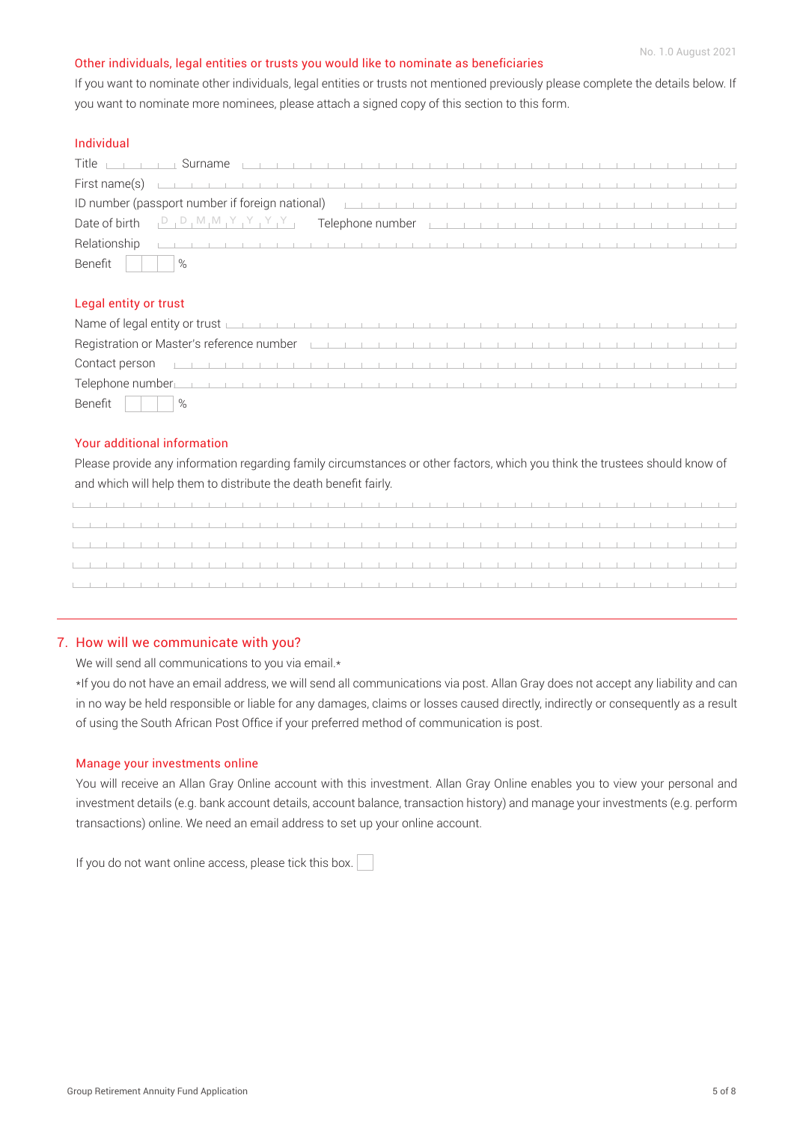#### Other individuals, legal entities or trusts you would like to nominate as beneficiaries

If you want to nominate other individuals, legal entities or trusts not mentioned previously please complete the details below. If you want to nominate more nominees, please attach a signed copy of this section to this form.

### Individual

|                       | Title <u>part of the Surname</u> part of the part of the state of the state of the state of the state of the state of the state of the state of the state of the state of the state of the state of the state of the state of the s |  |  |  |  |  |  |  |
|-----------------------|-------------------------------------------------------------------------------------------------------------------------------------------------------------------------------------------------------------------------------------|--|--|--|--|--|--|--|
|                       | First name(s) $\Box$                                                                                                                                                                                                                |  |  |  |  |  |  |  |
|                       | ID number (passport number if foreign national) <u>the contract of the contract of the contract of the contract of</u>                                                                                                              |  |  |  |  |  |  |  |
|                       | Date of birth $D_1D_1M_1M_1Y_1Y_1Y_1Y_2$ Telephone number                                                                                                                                                                           |  |  |  |  |  |  |  |
|                       | <b>Relationship</b>                                                                                                                                                                                                                 |  |  |  |  |  |  |  |
| Benefit $\vert \vert$ | $\%$                                                                                                                                                                                                                                |  |  |  |  |  |  |  |

#### Legal entity or trust

| Name of legal entity or trust <u>parameter in the contract of the contract of the contract of the contract of the co</u>                                                                                                             |  |  |  |  |  |  |  |  |  |  |  |  |  |
|--------------------------------------------------------------------------------------------------------------------------------------------------------------------------------------------------------------------------------------|--|--|--|--|--|--|--|--|--|--|--|--|--|
| Registration or Master's reference number <b>the contract of the contract of the contract of the contract of the contract of the contract of the contract of the contract of the contract of the contract of the contract of the</b> |  |  |  |  |  |  |  |  |  |  |  |  |  |
|                                                                                                                                                                                                                                      |  |  |  |  |  |  |  |  |  |  |  |  |  |
| Telephone number <u>in the contract of the contract of the contract of the contract of the contract of the contract of the contract of the contract of the contract of the contract of the contract of the contract of the contr</u> |  |  |  |  |  |  |  |  |  |  |  |  |  |
| Benefit    <br>$\frac{9}{6}$                                                                                                                                                                                                         |  |  |  |  |  |  |  |  |  |  |  |  |  |

#### Your additional information

Please provide any information regarding family circumstances or other factors, which you think the trustees should know of and which will help them to distribute the death benefit fairly.

the contract of the contract of the and the control 

#### 7. How will we communicate with you?

We will send all communications to you via email.\*

\*If you do not have an email address, we will send all communications via post. Allan Gray does not accept any liability and can in no way be held responsible or liable for any damages, claims or losses caused directly, indirectly or consequently as a result of using the South African Post Office if your preferred method of communication is post.

#### Manage your investments online

You will receive an Allan Gray Online account with this investment. Allan Gray Online enables you to view your personal and investment details (e.g. bank account details, account balance, transaction history) and manage your investments (e.g. perform transactions) online. We need an email address to set up your online account.

If you do not want online access, please tick this box.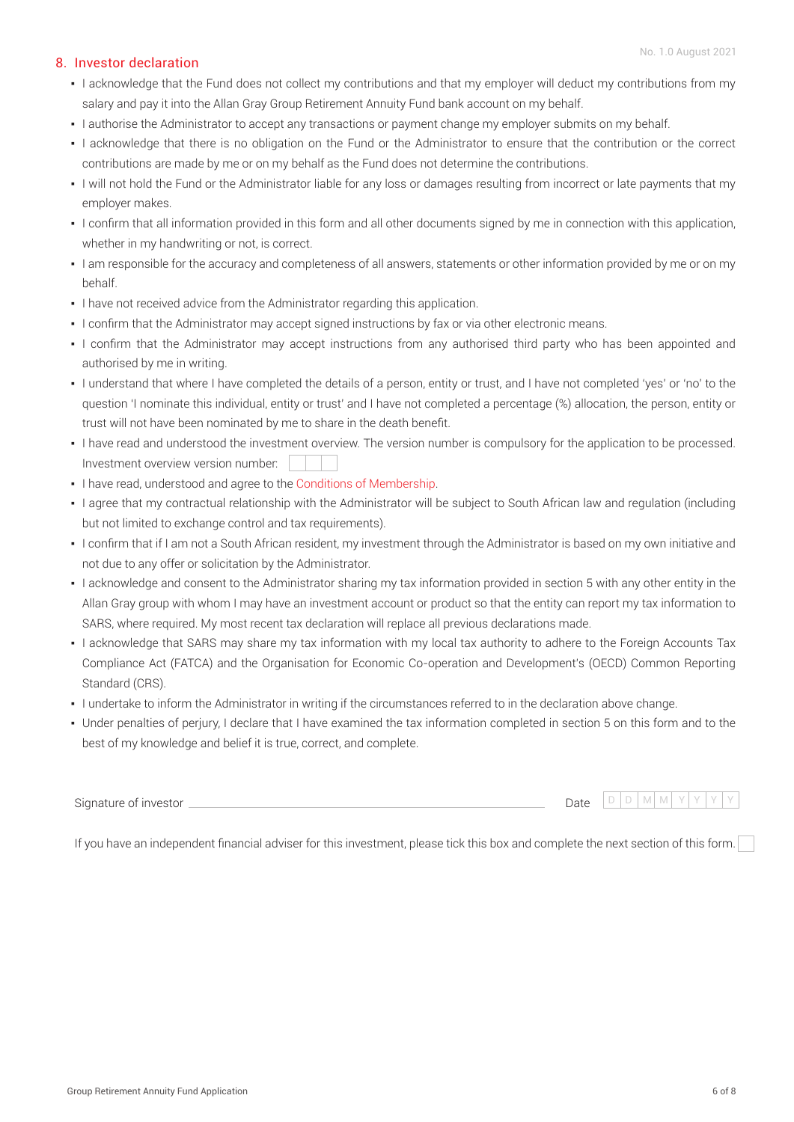#### 8. Investor declaration

- I acknowledge that the Fund does not collect my contributions and that my employer will deduct my contributions from my salary and pay it into the Allan Gray Group Retirement Annuity Fund bank account on my behalf.
- I authorise the Administrator to accept any transactions or payment change my employer submits on my behalf.
- I acknowledge that there is no obligation on the Fund or the Administrator to ensure that the contribution or the correct contributions are made by me or on my behalf as the Fund does not determine the contributions.
- I will not hold the Fund or the Administrator liable for any loss or damages resulting from incorrect or late payments that my employer makes.
- I confirm that all information provided in this form and all other documents signed by me in connection with this application, whether in my handwriting or not, is correct.
- I am responsible for the accuracy and completeness of all answers, statements or other information provided by me or on my behalf.
- **.** I have not received advice from the Administrator regarding this application.
- I confirm that the Administrator may accept signed instructions by fax or via other electronic means.
- I confirm that the Administrator may accept instructions from any authorised third party who has been appointed and authorised by me in writing.
- I understand that where I have completed the details of a person, entity or trust, and I have not completed 'yes' or 'no' to the question 'I nominate this individual, entity or trust' and I have not completed a percentage (%) allocation, the person, entity or trust will not have been nominated by me to share in the death benefit.
- I have read and understood the investment overview. The version number is compulsory for the application to be processed. Investment overview version number:
- I have read, understood and agree to the [Conditions of Membership.](https://www.allangray.co.za/globalassets/documents-repository/product/brochures/Retirement%20Annuity%20Fund/Files/Conditions%20of%20membership%20RA.pdf)
- I agree that my contractual relationship with the Administrator will be subject to South African law and regulation (including but not limited to exchange control and tax requirements).
- I confirm that if I am not a South African resident, my investment through the Administrator is based on my own initiative and not due to any offer or solicitation by the Administrator.
- I acknowledge and consent to the Administrator sharing my tax information provided in section 5 with any other entity in the Allan Gray group with whom I may have an investment account or product so that the entity can report my tax information to SARS, where required. My most recent tax declaration will replace all previous declarations made.
- I acknowledge that SARS may share my tax information with my local tax authority to adhere to the Foreign Accounts Tax Compliance Act (FATCA) and the Organisation for Economic Co-operation and Development's (OECD) Common Reporting Standard (CRS).
- I undertake to inform the Administrator in writing if the circumstances referred to in the declaration above change.
- Under penalties of perjury, I declare that I have examined the tax information completed in section 5 on this form and to the best of my knowledge and belief it is true, correct, and complete.

| $\sim$ .<br>Signature of investor | $\lambda$<br>Jale | D. |  |  |  |
|-----------------------------------|-------------------|----|--|--|--|
|                                   | .                 |    |  |  |  |

If you have an independent financial adviser for this investment, please tick this box and complete the next section of this form.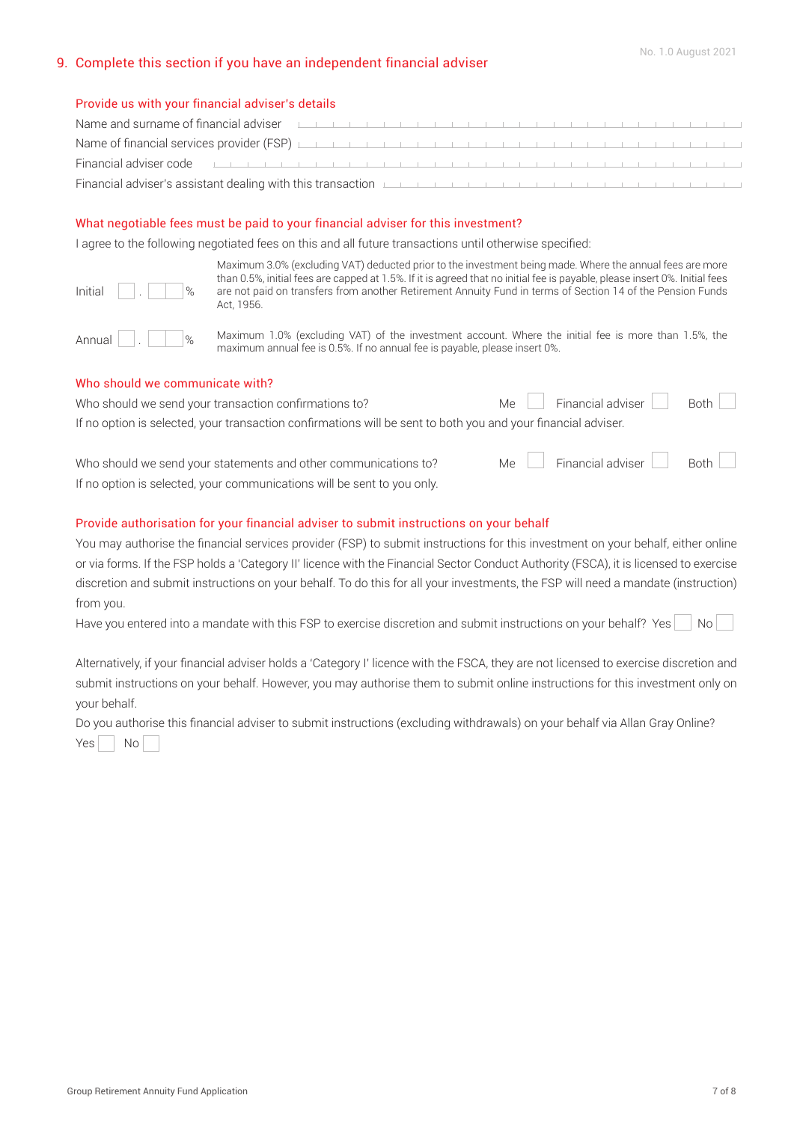## 9. Complete this section if you have an independent financial adviser

#### Provide us with your financial adviser's details

| Name and surname of financial adviser <b>EXECUTE:</b> THE REPORT OF THE REPORT OF THE REPORT OF THE REPORT OF THE REPORT OF THE REPORT OF THE REPORT OF THE REPORT OF THE REPORT OF THE REPORT OF THE REPORT OF THE REPORT OF THE R  |  |  |  |  |  |  |  |  |  |  |  |  |  |  |
|--------------------------------------------------------------------------------------------------------------------------------------------------------------------------------------------------------------------------------------|--|--|--|--|--|--|--|--|--|--|--|--|--|--|
|                                                                                                                                                                                                                                      |  |  |  |  |  |  |  |  |  |  |  |  |  |  |
| Financial adviser code <u>the contract of the contract of the contract of the contract of the contract of the contract of</u>                                                                                                        |  |  |  |  |  |  |  |  |  |  |  |  |  |  |
| Financial adviser's assistant dealing with this transaction <b>Experimental and the control of the control of the control of the control of the control of the control of the control of the control of the control of the contr</b> |  |  |  |  |  |  |  |  |  |  |  |  |  |  |

#### What negotiable fees must be paid to your financial adviser for this investment?

I agree to the following negotiated fees on this and all future transactions until otherwise specified:

| Initial | ٠ |  | % |  |
|---------|---|--|---|--|
|         |   |  |   |  |

Maximum 3.0% (excluding VAT) deducted prior to the investment being made. Where the annual fees are more than 0.5%, initial fees are capped at 1.5%. If it is agreed that no initial fee is payable, please insert 0%. Initial fees are not paid on transfers from another Retirement Annuity Fund in terms of Section 14 of the Pension Funds Act, 1956.

Annual  $\log_{10}$  Maximum 1.0% (excluding VAT) of the investment account. Where the initial fee is more than 1.5%, the maximum annual fee is 0.5%. If no annual fee is payable, please insert 0%.

#### Who should we communicate with?

Who should we send your transaction confirmations to? Me Financial adviser Both If no option is selected, your transaction confirmations will be sent to both you and your financial adviser.

Who should we send your statements and other communications to? Me  $\Box$  Financial adviser  $\Box$  Both If no option is selected, your communications will be sent to you only.

#### Provide authorisation for your financial adviser to submit instructions on your behalf

You may authorise the financial services provider (FSP) to submit instructions for this investment on your behalf, either online or via forms. If the FSP holds a 'Category II' licence with the Financial Sector Conduct Authority (FSCA), it is licensed to exercise discretion and submit instructions on your behalf. To do this for all your investments, the FSP will need a mandate (instruction) from you.

Have you entered into a mandate with this FSP to exercise discretion and submit instructions on your behalf? Yes  $\Box$  No

Alternatively, if your financial adviser holds a 'Category I' licence with the FSCA, they are not licensed to exercise discretion and submit instructions on your behalf. However, you may authorise them to submit online instructions for this investment only on your behalf.

Do you authorise this financial adviser to submit instructions (excluding withdrawals) on your behalf via Allan Gray Online?  $Yes$  No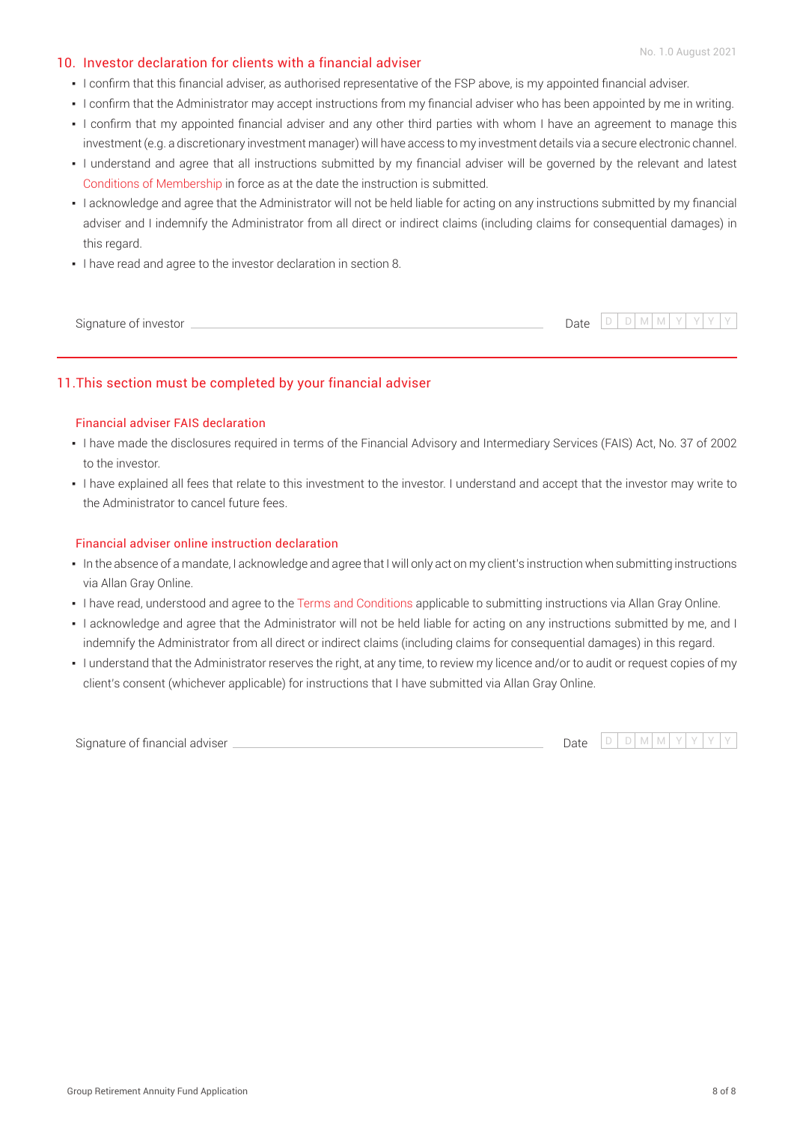### 10. Investor declaration for clients with a financial adviser

- I confirm that this financial adviser, as authorised representative of the FSP above, is my appointed financial adviser.
- . I confirm that the Administrator may accept instructions from my financial adviser who has been appointed by me in writing.
- . I confirm that my appointed financial adviser and any other third parties with whom I have an agreement to manage this investment (e.g. a discretionary investment manager) will have access to my investment details via a secure electronic channel.
- I understand and agree that all instructions submitted by my financial adviser will be governed by the relevant and latest [Conditions of Membership](https://www.allangray.co.za/globalassets/documents-repository/product/brochures/Retirement%20Annuity%20Fund/Files/Conditions%20of%20membership%20RA.pdf) in force as at the date the instruction is submitted.
- I acknowledge and agree that the Administrator will not be held liable for acting on any instructions submitted by my financial adviser and I indemnify the Administrator from all direct or indirect claims (including claims for consequential damages) in this regard.
- I have read and agree to the investor declaration in section 8.

| $\sim$<br>Signature of investor<br>. | $\overline{\phantom{0}}$<br>Date<br>. | $\sim$<br>$\sim$ | . |  |  |  |
|--------------------------------------|---------------------------------------|------------------|---|--|--|--|
|                                      |                                       |                  |   |  |  |  |

## 11.This section must be completed by your financial adviser

#### Financial adviser FAIS declaration

- I have made the disclosures required in terms of the Financial Advisory and Intermediary Services (FAIS) Act, No. 37 of 2002 to the investor.
- . I have explained all fees that relate to this investment to the investor. I understand and accept that the investor may write to the Administrator to cancel future fees.

#### Financial adviser online instruction declaration

- In the absence of a mandate, I acknowledge and agree that I will only act on my client's instruction when submitting instructions via Allan Gray Online.
- I have read, understood and agree to the [Terms and Conditions](https://www.allangray.co.za/online-terms-and-conditions/) applicable to submitting instructions via Allan Gray Online.
- I acknowledge and agree that the Administrator will not be held liable for acting on any instructions submitted by me, and I indemnify the Administrator from all direct or indirect claims (including claims for consequential damages) in this regard.
- I understand that the Administrator reserves the right, at any time, to review my licence and/or to audit or request copies of my client's consent (whichever applicable) for instructions that I have submitted via Allan Gray Online.

Signature of financial adviser

Date  $D D M M Y Y Y$